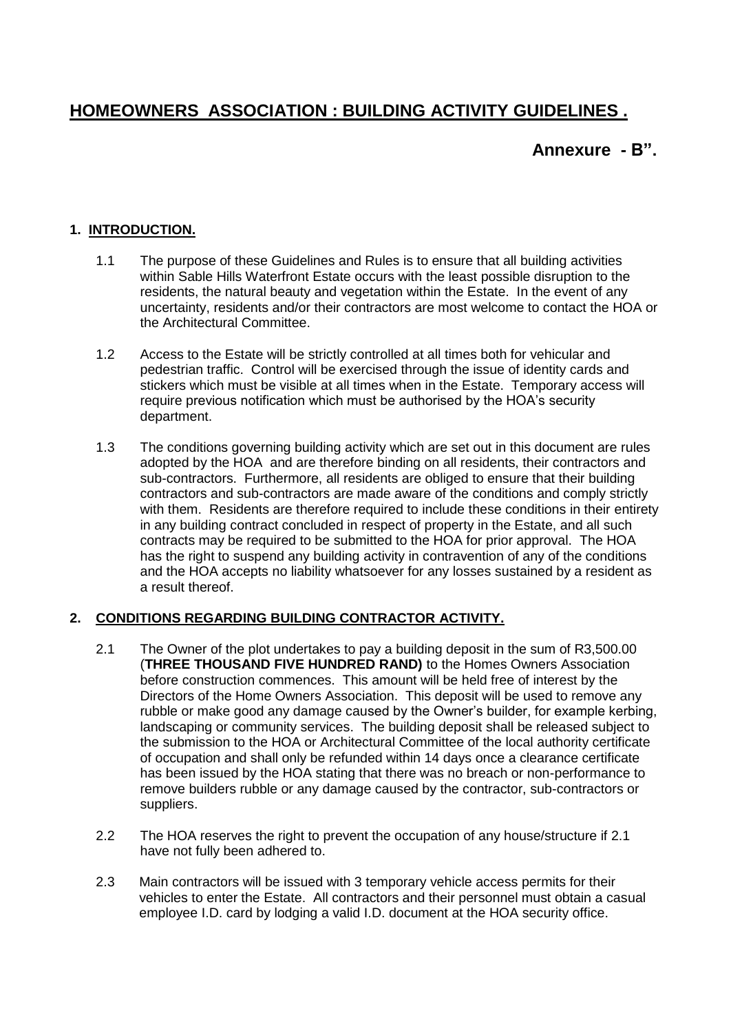# **HOMEOWNERS ASSOCIATION : BUILDING ACTIVITY GUIDELINES .**

## **Annexure - B".**

#### **1. INTRODUCTION.**

- 1.1 The purpose of these Guidelines and Rules is to ensure that all building activities within Sable Hills Waterfront Estate occurs with the least possible disruption to the residents, the natural beauty and vegetation within the Estate. In the event of any uncertainty, residents and/or their contractors are most welcome to contact the HOA or the Architectural Committee.
- 1.2 Access to the Estate will be strictly controlled at all times both for vehicular and pedestrian traffic. Control will be exercised through the issue of identity cards and stickers which must be visible at all times when in the Estate. Temporary access will require previous notification which must be authorised by the HOA's security department.
- 1.3 The conditions governing building activity which are set out in this document are rules adopted by the HOA and are therefore binding on all residents, their contractors and sub-contractors. Furthermore, all residents are obliged to ensure that their building contractors and sub-contractors are made aware of the conditions and comply strictly with them. Residents are therefore required to include these conditions in their entirety in any building contract concluded in respect of property in the Estate, and all such contracts may be required to be submitted to the HOA for prior approval. The HOA has the right to suspend any building activity in contravention of any of the conditions and the HOA accepts no liability whatsoever for any losses sustained by a resident as a result thereof.

#### **2. CONDITIONS REGARDING BUILDING CONTRACTOR ACTIVITY.**

- 2.1 The Owner of the plot undertakes to pay a building deposit in the sum of R3,500.00 (**THREE THOUSAND FIVE HUNDRED RAND)** to the Homes Owners Association before construction commences. This amount will be held free of interest by the Directors of the Home Owners Association. This deposit will be used to remove any rubble or make good any damage caused by the Owner's builder, for example kerbing, landscaping or community services. The building deposit shall be released subject to the submission to the HOA or Architectural Committee of the local authority certificate of occupation and shall only be refunded within 14 days once a clearance certificate has been issued by the HOA stating that there was no breach or non-performance to remove builders rubble or any damage caused by the contractor, sub-contractors or suppliers.
- 2.2 The HOA reserves the right to prevent the occupation of any house/structure if 2.1 have not fully been adhered to.
- 2.3 Main contractors will be issued with 3 temporary vehicle access permits for their vehicles to enter the Estate. All contractors and their personnel must obtain a casual employee I.D. card by lodging a valid I.D. document at the HOA security office.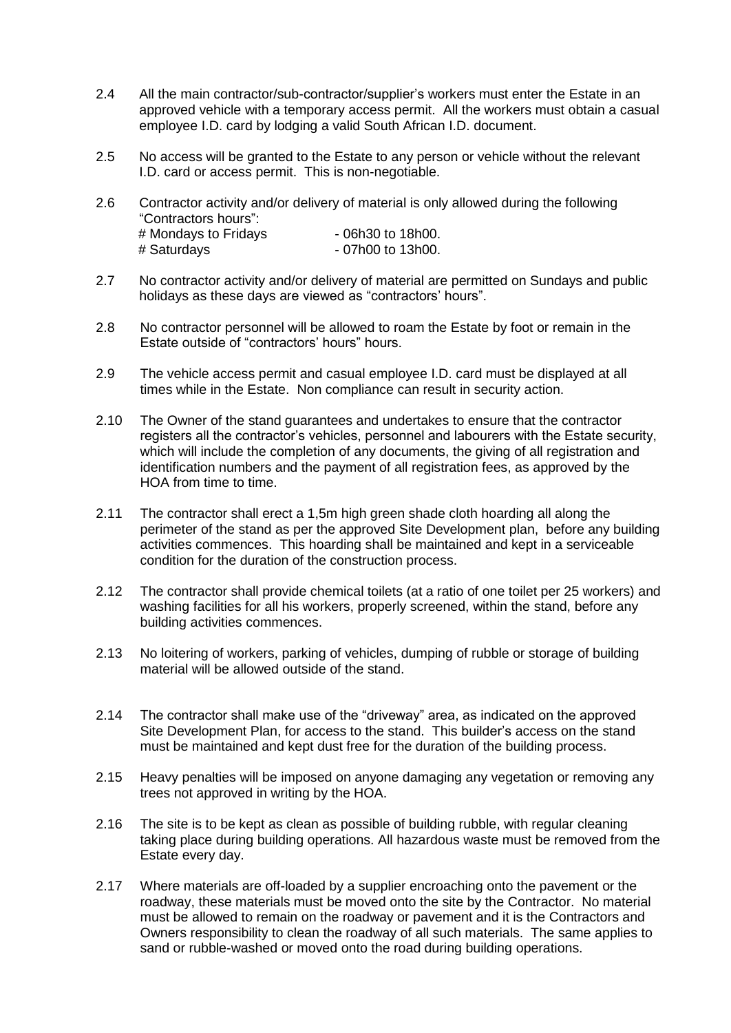- 2.4 All the main contractor/sub-contractor/supplier's workers must enter the Estate in an approved vehicle with a temporary access permit. All the workers must obtain a casual employee I.D. card by lodging a valid South African I.D. document.
- 2.5 No access will be granted to the Estate to any person or vehicle without the relevant I.D. card or access permit. This is non-negotiable.
- 2.6 Contractor activity and/or delivery of material is only allowed during the following "Contractors hours":  $#$  Mondays to Fridays  $-06h30$  to 18h00. # Saturdays - 07h00 to 13h00.
- 2.7 No contractor activity and/or delivery of material are permitted on Sundays and public holidays as these days are viewed as "contractors' hours".
- 2.8 No contractor personnel will be allowed to roam the Estate by foot or remain in the Estate outside of "contractors' hours" hours.
- 2.9 The vehicle access permit and casual employee I.D. card must be displayed at all times while in the Estate. Non compliance can result in security action.
- 2.10 The Owner of the stand guarantees and undertakes to ensure that the contractor registers all the contractor's vehicles, personnel and labourers with the Estate security, which will include the completion of any documents, the giving of all registration and identification numbers and the payment of all registration fees, as approved by the HOA from time to time.
- 2.11 The contractor shall erect a 1,5m high green shade cloth hoarding all along the perimeter of the stand as per the approved Site Development plan, before any building activities commences. This hoarding shall be maintained and kept in a serviceable condition for the duration of the construction process.
- 2.12 The contractor shall provide chemical toilets (at a ratio of one toilet per 25 workers) and washing facilities for all his workers, properly screened, within the stand, before any building activities commences.
- 2.13 No loitering of workers, parking of vehicles, dumping of rubble or storage of building material will be allowed outside of the stand.
- 2.14 The contractor shall make use of the "driveway" area, as indicated on the approved Site Development Plan, for access to the stand. This builder's access on the stand must be maintained and kept dust free for the duration of the building process.
- 2.15 Heavy penalties will be imposed on anyone damaging any vegetation or removing any trees not approved in writing by the HOA.
- 2.16 The site is to be kept as clean as possible of building rubble, with regular cleaning taking place during building operations. All hazardous waste must be removed from the Estate every day.
- 2.17 Where materials are off-loaded by a supplier encroaching onto the pavement or the roadway, these materials must be moved onto the site by the Contractor. No material must be allowed to remain on the roadway or pavement and it is the Contractors and Owners responsibility to clean the roadway of all such materials. The same applies to sand or rubble-washed or moved onto the road during building operations.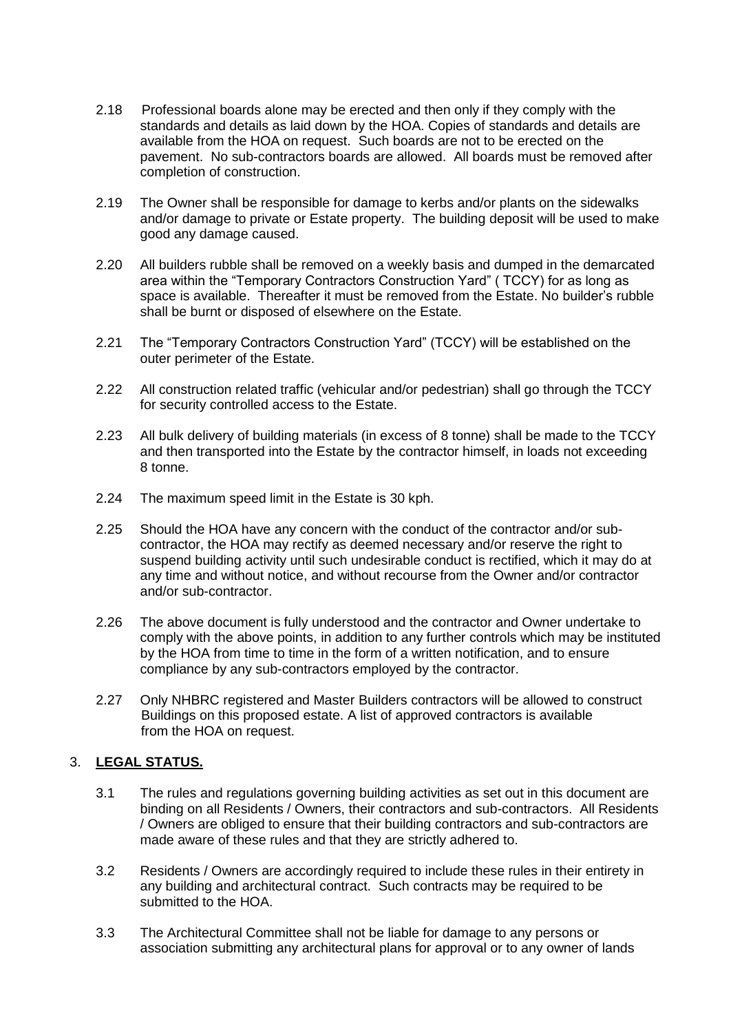- 2.18 Professional boards alone may be erected and then only if they comply with the standards and details as laid down by the HOA. Copies of standards and details are available from the HOA on request. Such boards are not to be erected on the pavement. No sub-contractors boards are allowed. All boards must be removed after completion of construction.
- 2.19 The Owner shall be responsible for damage to kerbs and/or plants on the sidewalks and/or damage to private or Estate property. The building deposit will be used to make good any damage caused.
- 2.20 All builders rubble shall be removed on a weekly basis and dumped in the demarcated area within the "Temporary Contractors Construction Yard" ( TCCY) for as long as space is available. Thereafter it must be removed from the Estate. No builder's rubble shall be burnt or disposed of elsewhere on the Estate.
- 2.21 The "Temporary Contractors Construction Yard" (TCCY) will be established on the outer perimeter of the Estate.
- 2.22 All construction related traffic (vehicular and/or pedestrian) shall go through the TCCY for security controlled access to the Estate.
- 2.23 All bulk delivery of building materials (in excess of 8 tonne) shall be made to the TCCY and then transported into the Estate by the contractor himself, in loads not exceeding 8 tonne.
- 2.24 The maximum speed limit in the Estate is 30 kph.
- 2.25 Should the HOA have any concern with the conduct of the contractor and/or subcontractor, the HOA may rectify as deemed necessary and/or reserve the right to suspend building activity until such undesirable conduct is rectified, which it may do at any time and without notice, and without recourse from the Owner and/or contractor and/or sub-contractor.
- 2.26 The above document is fully understood and the contractor and Owner undertake to comply with the above points, in addition to any further controls which may be instituted by the HOA from time to time in the form of a written notification, and to ensure compliance by any sub-contractors employed by the contractor.
- 2.27 Only NHBRC registered and Master Builders contractors will be allowed to construct Buildings on this proposed estate. A list of approved contractors is available from the HOA on request.

### 3. **LEGAL STATUS.**

- 3.1 The rules and regulations governing building activities as set out in this document are binding on all Residents / Owners, their contractors and sub-contractors. All Residents / Owners are obliged to ensure that their building contractors and sub-contractors are made aware of these rules and that they are strictly adhered to.
- 3.2 Residents / Owners are accordingly required to include these rules in their entirety in any building and architectural contract. Such contracts may be required to be submitted to the HOA.
- 3.3 The Architectural Committee shall not be liable for damage to any persons or association submitting any architectural plans for approval or to any owner of lands